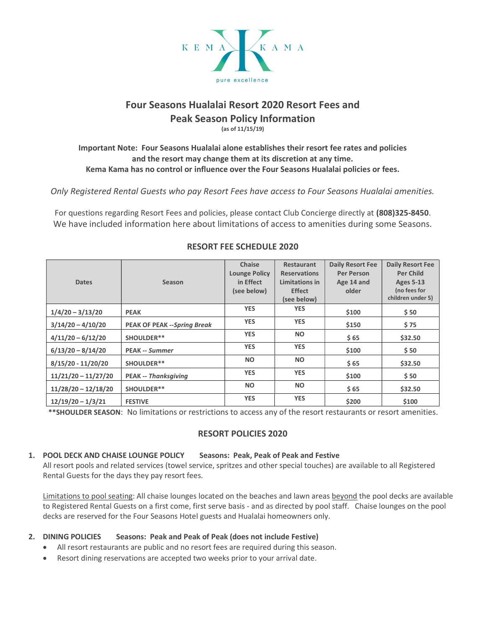

# Four Seasons Hualalai Resort 2020 Resort Fees and Peak Season Policy Information (as of 11/15/19)

## Important Note: Four Seasons Hualalai alone establishes their resort fee rates and policies and the resort may change them at its discretion at any time. Kema Kama has no control or influence over the Four Seasons Hualalai policies or fees.

Only Registered Rental Guests who pay Resort Fees have access to Four Seasons Hualalai amenities.

For questions regarding Resort Fees and policies, please contact Club Concierge directly at (808)325-8450. We have included information here about limitations of access to amenities during some Seasons.

|                       |                                    | <b>Chaise</b>        | <b>Restaurant</b>   | <b>Daily Resort Fee</b> | <b>Daily Resort Fee</b> |
|-----------------------|------------------------------------|----------------------|---------------------|-------------------------|-------------------------|
|                       |                                    | <b>Lounge Policy</b> | <b>Reservations</b> | <b>Per Person</b>       | <b>Per Child</b>        |
| <b>Dates</b>          | <b>Season</b>                      | in Effect            | Limitations in      | Age 14 and              | <b>Ages 5-13</b>        |
|                       |                                    | (see below)          | <b>Effect</b>       | older                   | (no fees for            |
|                       |                                    |                      | (see below)         |                         | children under 5)       |
| $1/4/20 - 3/13/20$    | <b>PEAK</b>                        | <b>YES</b>           | <b>YES</b>          | \$100                   | \$50                    |
| $3/14/20 - 4/10/20$   | <b>PEAK OF PEAK --Spring Break</b> | <b>YES</b>           | <b>YES</b>          | \$150                   | \$75                    |
| $4/11/20 - 6/12/20$   | SHOULDER**                         | <b>YES</b>           | <b>NO</b>           | \$65                    | \$32.50                 |
| $6/13/20 - 8/14/20$   | <b>PEAK -- Summer</b>              | <b>YES</b>           | <b>YES</b>          | \$100                   | \$50                    |
| $8/15/20 - 11/20/20$  | SHOULDER**                         | <b>NO</b>            | <b>NO</b>           | \$65                    | \$32.50                 |
| $11/21/20 - 11/27/20$ | <b>PEAK -- Thanksgiving</b>        | <b>YES</b>           | <b>YES</b>          | \$100                   | \$50                    |
| $11/28/20 - 12/18/20$ | SHOULDER**                         | <b>NO</b>            | <b>NO</b>           | \$65                    | \$32.50                 |
| $12/19/20 - 1/3/21$   | <b>FESTIVE</b>                     | <b>YES</b>           | <b>YES</b>          | \$200                   | \$100                   |

## RESORT FEE SCHEDULE 2020

\*\*SHOULDER SEASON: No limitations or restrictions to access any of the resort restaurants or resort amenities.

## RESORT POLICIES 2020

### 1. POOL DECK AND CHAISE LOUNGE POLICY Seasons: Peak, Peak of Peak and Festive

All resort pools and related services (towel service, spritzes and other special touches) are available to all Registered Rental Guests for the days they pay resort fees.

Limitations to pool seating: All chaise lounges located on the beaches and lawn areas beyond the pool decks are available to Registered Rental Guests on a first come, first serve basis - and as directed by pool staff. Chaise lounges on the pool decks are reserved for the Four Seasons Hotel guests and Hualalai homeowners only.

## 2. DINING POLICIES Seasons: Peak and Peak of Peak (does not include Festive)

- All resort restaurants are public and no resort fees are required during this season.
- Resort dining reservations are accepted two weeks prior to your arrival date.